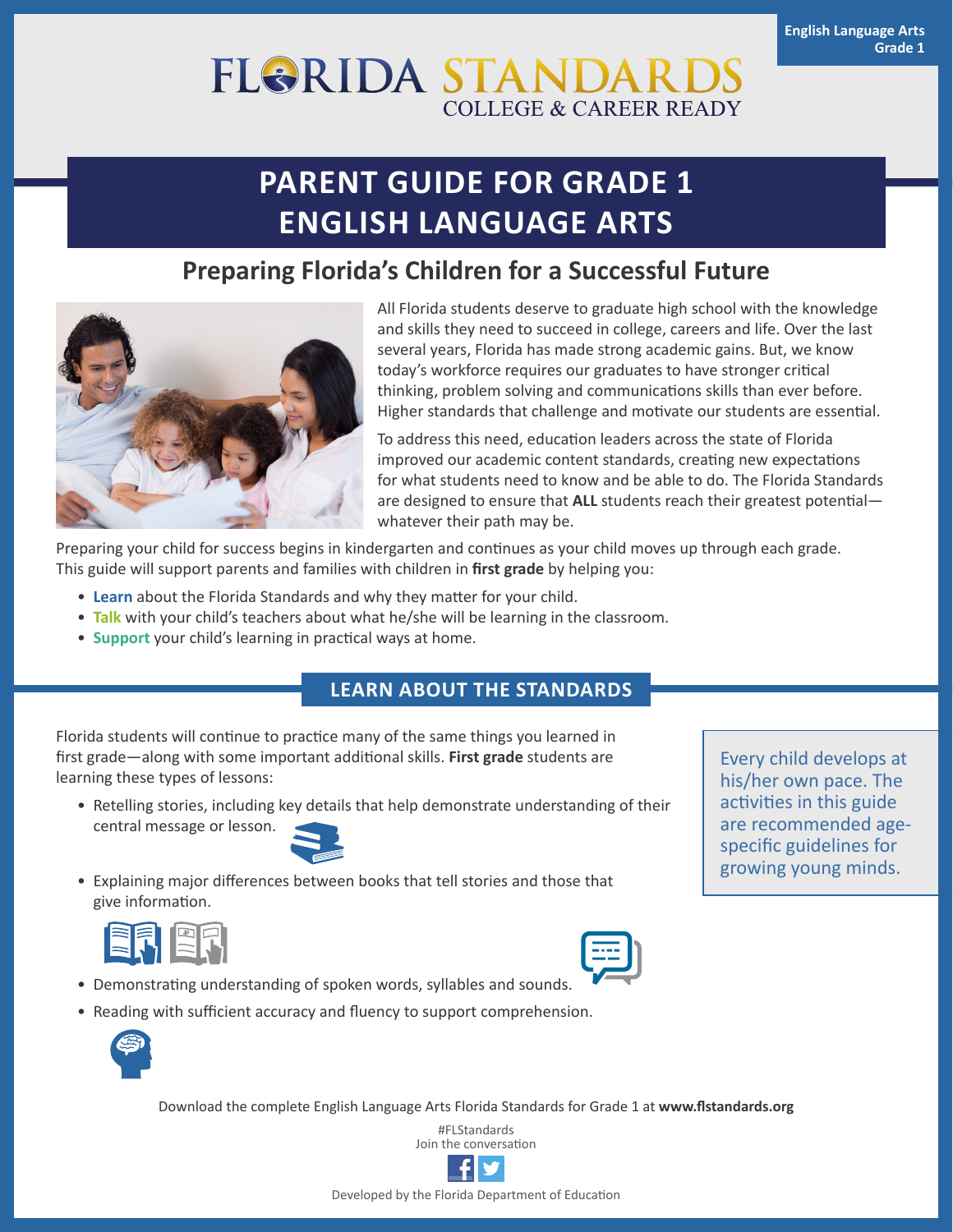# **FL&RIDA STANDAF COLLEGE & CAREER READY**

# **PARENT GUIDE FOR GRADE 1 ENGLISH LANGUAGE ARTS**

### **Preparing Florida's Children for a Successful Future**



All Florida students deserve to graduate high school with the knowledge and skills they need to succeed in college, careers and life. Over the last several years, Florida has made strong academic gains. But, we know today's workforce requires our graduates to have stronger critical thinking, problem solving and communications skills than ever before. Higher standards that challenge and motivate our students are essential.

To address this need, education leaders across the state of Florida improved our academic content standards, creating new expectations for what students need to know and be able to do. The Florida Standards are designed to ensure that **ALL** students reach their greatest potential whatever their path may be.

Preparing your child for success begins in kindergarten and continues as your child moves up through each grade. This guide will support parents and families with children in **first grade** by helping you:

- **Learn** about the Florida Standards and why they matter for your child.
- **Talk** with your child's teachers about what he/she will be learning in the classroom.
- **Support** your child's learning in practical ways at home.

### **LEARN ABOUT THE STANDARDS**

Florida students will continue to practice many of the same things you learned in first grade—along with some important additional skills. **First grade** students are learning these types of lessons:

• Retelling stories, including key details that help demonstrate understanding of their central message or lesson.



• Explaining major differences between books that tell stories and those that give information.





- Demonstrating understanding of spoken words, syllables and sounds.
- Reading with sufficient accuracy and fluency to support comprehension.



Download the complete English Language Arts Florida Standards for Grade 1 at **[www.flstandards.org](http://www.flstandards.org)**

#FLStandards Join the conversation



Every child develops at his/her own pace. The activities in this guide are recommended agespecific guidelines for growing young minds.

Developed by the Florida Department of Education